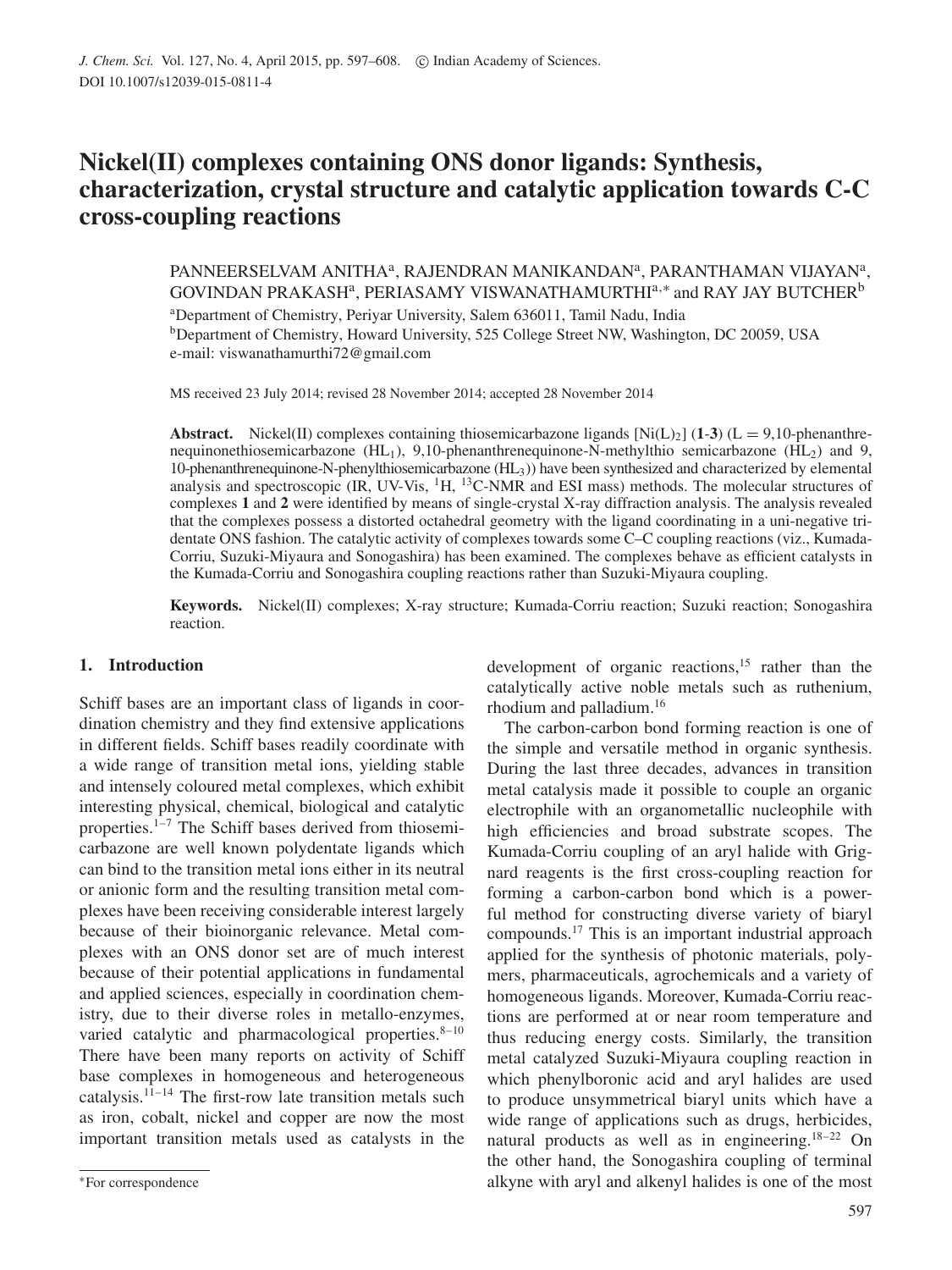# **Nickel(II) complexes containing ONS donor ligands: Synthesis, characterization, crystal structure and catalytic application towards C-C cross-coupling reactions**

PANNEERSELVAM ANITHA<sup>a</sup>, RAJENDRAN MANIKANDAN<sup>a</sup>, PARANTHAMAN VIJAYAN<sup>a</sup>, GOVINDAN PRAKASHª, PERIASAMY VISWANATHAMURTHI $^{a,*}$  and RAY JAY BUTCHER $^{\rm b}$ 

<sup>a</sup>Department of Chemistry, Periyar University, Salem 636011, Tamil Nadu, India <sup>b</sup>Department of Chemistry, Howard University, 525 College Street NW, Washington, DC 20059, USA e-mail: viswanathamurthi72@gmail.com

MS received 23 July 2014; revised 28 November 2014; accepted 28 November 2014

**Abstract.** Nickel(II) complexes containing thiosemicarbazone ligands  $[Ni(L)_2]$  (1-3) (L = 9,10-phenanthrenequinonethiosemicarbazone (HL<sub>1</sub>), 9,10-phenanthrenequinone-N-methylthio semicarbazone (HL<sub>2</sub>) and 9, 10-phenanthrenequinone-N-phenylthiosemicarbazone (HL3)) have been synthesized and characterized by elemental analysis and spectroscopic (IR, UV-Vis, <sup>1</sup>H, <sup>13</sup>C-NMR and ESI mass) methods. The molecular structures of complexes **1** and **2** were identified by means of single-crystal X-ray diffraction analysis. The analysis revealed that the complexes possess a distorted octahedral geometry with the ligand coordinating in a uni-negative tridentate ONS fashion. The catalytic activity of complexes towards some C–C coupling reactions (viz., Kumada-Corriu, Suzuki-Miyaura and Sonogashira) has been examined. The complexes behave as efficient catalysts in the Kumada-Corriu and Sonogashira coupling reactions rather than Suzuki-Miyaura coupling.

**Keywords.** Nickel(II) complexes; X-ray structure; Kumada-Corriu reaction; Suzuki reaction; Sonogashira reaction.

# **1. Introduction**

Schiff bases are an important class of ligands in coordination chemistry and they find extensive applications in different fields. Schiff bases readily coordinate with a wide range of transition metal ions, yielding stable and intensely coloured metal complexes, which exhibit interesting physical, chemical, biological and catalytic properties.1–7 The Schiff bases derived from thiosemicarbazone are well known polydentate ligands which can bind to the transition metal ions either in its neutral or anionic form and the resulting transition metal complexes have been receiving considerable interest largely because of their bioinorganic relevance. Metal complexes with an ONS donor set are of much interest because of their potential applications in fundamental and applied sciences, especially in coordination chemistry, due to their diverse roles in metallo-enzymes, varied catalytic and pharmacological properties.<sup>8-10</sup> There have been many reports on activity of Schiff base complexes in homogeneous and heterogeneous catalysis. $11-14$  The first-row late transition metals such as iron, cobalt, nickel and copper are now the most important transition metals used as catalysts in the development of organic reactions, $15$  rather than the catalytically active noble metals such as ruthenium, rhodium and palladium.<sup>16</sup>

The carbon-carbon bond forming reaction is one of the simple and versatile method in organic synthesis. During the last three decades, advances in transition metal catalysis made it possible to couple an organic electrophile with an organometallic nucleophile with high efficiencies and broad substrate scopes. The Kumada-Corriu coupling of an aryl halide with Grignard reagents is the first cross-coupling reaction for forming a carbon-carbon bond which is a powerful method for constructing diverse variety of biaryl compounds.<sup>17</sup> This is an important industrial approach applied for the synthesis of photonic materials, polymers, pharmaceuticals, agrochemicals and a variety of homogeneous ligands. Moreover, Kumada-Corriu reactions are performed at or near room temperature and thus reducing energy costs. Similarly, the transition metal catalyzed Suzuki-Miyaura coupling reaction in which phenylboronic acid and aryl halides are used to produce unsymmetrical biaryl units which have a wide range of applications such as drugs, herbicides, natural products as well as in engineering.<sup>18-22</sup> On the other hand, the Sonogashira coupling of terminal alkyne with aryl and alkenyl halides is one of the most

<sup>∗</sup>For correspondence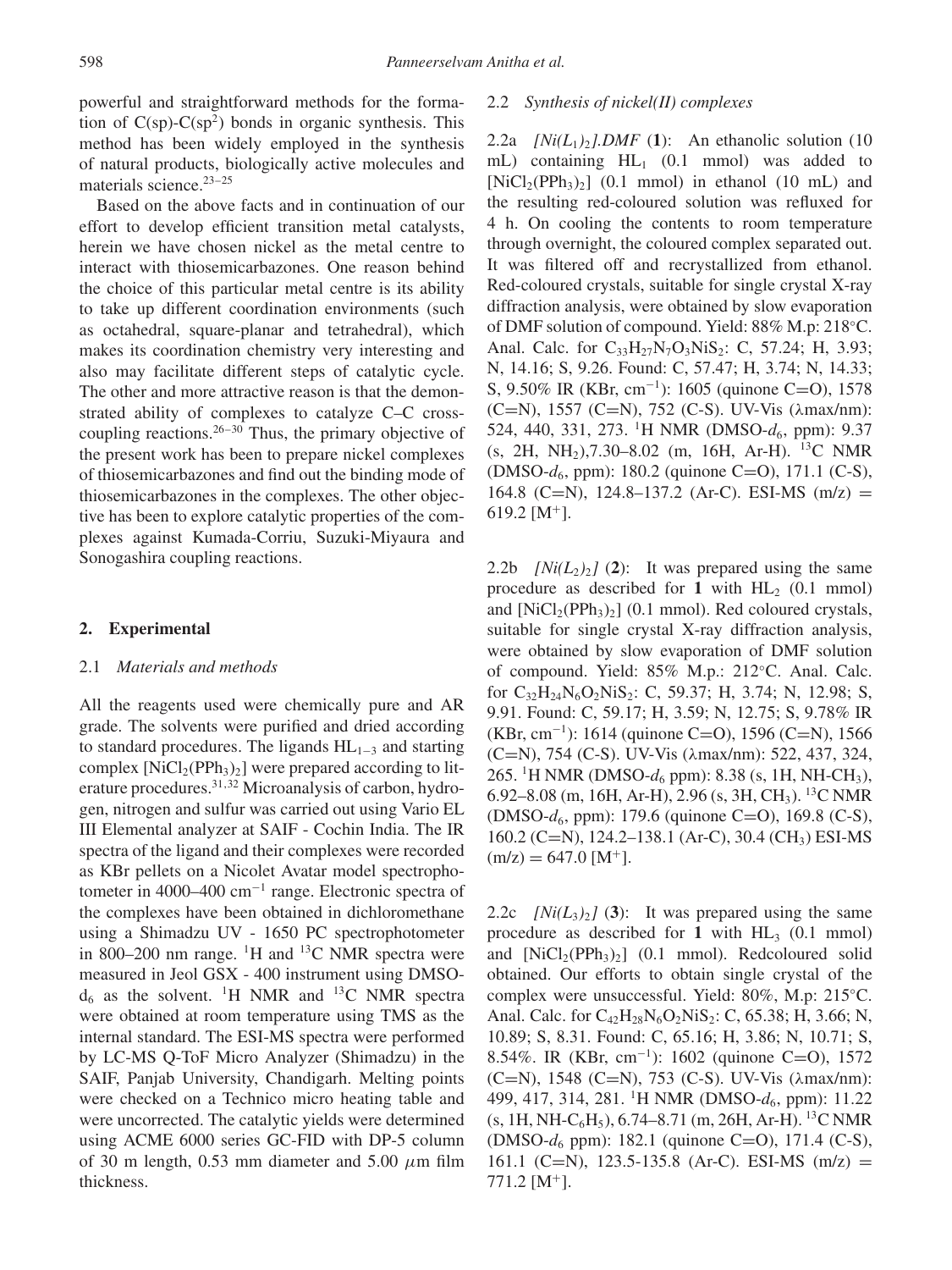powerful and straightforward methods for the formation of  $C(sp)$ - $C(sp^2)$  bonds in organic synthesis. This method has been widely employed in the synthesis of natural products, biologically active molecules and materials science. $23-25$ 

Based on the above facts and in continuation of our effort to develop efficient transition metal catalysts, herein we have chosen nickel as the metal centre to interact with thiosemicarbazones. One reason behind the choice of this particular metal centre is its ability to take up different coordination environments (such as octahedral, square-planar and tetrahedral), which makes its coordination chemistry very interesting and also may facilitate different steps of catalytic cycle. The other and more attractive reason is that the demonstrated ability of complexes to catalyze C–C crosscoupling reactions. $26-30$  Thus, the primary objective of the present work has been to prepare nickel complexes of thiosemicarbazones and find out the binding mode of thiosemicarbazones in the complexes. The other objective has been to explore catalytic properties of the complexes against Kumada-Corriu, Suzuki-Miyaura and Sonogashira coupling reactions.

## **2. Experimental**

## 2.1 *Materials and methods*

All the reagents used were chemically pure and AR grade. The solvents were purified and dried according to standard procedures. The ligands  $HL_{1-3}$  and starting complex  $[NiCl_2(PPh_3)_2]$  were prepared according to literature procedures.<sup>31,32</sup> Microanalysis of carbon, hydrogen, nitrogen and sulfur was carried out using Vario EL III Elemental analyzer at SAIF - Cochin India. The IR spectra of the ligand and their complexes were recorded as KBr pellets on a Nicolet Avatar model spectrophotometer in 4000–400 cm<sup>−</sup><sup>1</sup> range. Electronic spectra of the complexes have been obtained in dichloromethane using a Shimadzu UV - 1650 PC spectrophotometer in 800–200 nm range.  ${}^{1}H$  and  ${}^{13}C$  NMR spectra were measured in Jeol GSX - 400 instrument using DMSO $d_6$  as the solvent. <sup>1</sup>H NMR and <sup>13</sup>C NMR spectra were obtained at room temperature using TMS as the internal standard. The ESI-MS spectra were performed by LC-MS Q-ToF Micro Analyzer (Shimadzu) in the SAIF, Panjab University, Chandigarh. Melting points were checked on a Technico micro heating table and were uncorrected. The catalytic yields were determined using ACME 6000 series GC-FID with DP-5 column of 30 m length, 0.53 mm diameter and 5.00  $\mu$ m film thickness.

## 2.2 *Synthesis of nickel(II) complexes*

2.2a *[Ni(L<sub>1</sub>)<sub>2</sub>].DMF* (1): An ethanolic solution (10) mL) containing HL<sub>1</sub> (0.1 mmol) was added to  $[NiCl<sub>2</sub>(PPh<sub>3</sub>)<sub>2</sub>]$  (0.1 mmol) in ethanol (10 mL) and the resulting red-coloured solution was refluxed for 4 h. On cooling the contents to room temperature through overnight, the coloured complex separated out. It was filtered off and recrystallized from ethanol. Red-coloured crystals, suitable for single crystal X-ray diffraction analysis, were obtained by slow evaporation of DMF solution of compound. Yield: 88% M.p: 218◦C. Anal. Calc. for  $C_{33}H_{27}N_7O_3N_1S_2$ : C, 57.24; H, 3.93; N, 14.16; S, 9.26. Found: C, 57.47; H, 3.74; N, 14.33; S, 9.50% IR (KBr, cm<sup>−</sup><sup>1</sup> ): 1605 (quinone C=O), 1578 (C=N), 1557 (C=N), 752 (C-S). UV-Vis (λmax/nm): 524, 440, 331, 273. <sup>1</sup>H NMR (DMSO- $d_6$ , ppm): 9.37  $(s, 2H, NH<sub>2</sub>), 7.30–8.02$  (m, 16H, Ar-H). <sup>13</sup>C NMR (DMSO- $d_6$ , ppm): 180.2 (quinone C=O), 171.1 (C-S), 164.8 (C=N), 124.8–137.2 (Ar-C). ESI-MS (m/z) = 619.2 [ $M^+$ ].

2.2b  $[Ni(L<sub>2</sub>)<sub>2</sub>]$  (2): It was prepared using the same procedure as described for 1 with  $HL_2$  (0.1 mmol) and  $[NiCl_2(PPh_3)_2]$  (0.1 mmol). Red coloured crystals, suitable for single crystal X-ray diffraction analysis, were obtained by slow evaporation of DMF solution of compound. Yield: 85% M.p.: 212◦C. Anal. Calc. for  $C_{32}H_{24}N_6O_2NiS_2$ : C, 59.37; H, 3.74; N, 12.98; S, 9.91. Found: C, 59.17; H, 3.59; N, 12.75; S, 9.78% IR (KBr, cm<sup>−</sup><sup>1</sup> ): 1614 (quinone C=O), 1596 (C=N), 1566 (C=N), 754 (C-S). UV-Vis (λmax/nm): 522, 437, 324, 265. <sup>1</sup>H NMR (DMSO- $d_6$  ppm): 8.38 (s, 1H, NH-CH<sub>3</sub>), 6.92–8.08 (m, 16H, Ar-H), 2.96 (s, 3H, CH<sub>3</sub>). <sup>13</sup>C NMR (DMSO-d6, ppm): 179.6 (quinone C=O), 169.8 (C-S), 160.2 (C=N), 124.2–138.1 (Ar-C), 30.4 (CH3) ESI-MS  $(m/z) = 647.0$  [M<sup>+</sup>].

2.2c  $[Ni(L_3)$ <sup>2</sup> $]$  (3): It was prepared using the same procedure as described for 1 with  $HL_3$  (0.1 mmol) and  $[NiCl_2(PPh_3)_2]$  (0.1 mmol). Redcoloured solid obtained. Our efforts to obtain single crystal of the complex were unsuccessful. Yield: 80%, M.p: 215◦C. Anal. Calc. for  $C_{42}H_{28}N_6O_2NiS_2$ : C, 65.38; H, 3.66; N, 10.89; S, 8.31. Found: C, 65.16; H, 3.86; N, 10.71; S, 8.54%. IR (KBr, cm<sup>−</sup><sup>1</sup> ): 1602 (quinone C=O), 1572 (C=N), 1548 (C=N), 753 (C-S). UV-Vis (λmax/nm): 499, 417, 314, 281. <sup>1</sup>H NMR (DMSO- $d_6$ , ppm): 11.22  $(s, 1H, NH-C<sub>6</sub>H<sub>5</sub>), 6.74–8.71$  (m, 26H, Ar-H). <sup>13</sup>C NMR (DMSO- $d_6$  ppm): 182.1 (quinone C=O), 171.4 (C-S), 161.1 (C=N), 123.5-135.8 (Ar-C). ESI-MS (m/z) =  $771.2$  [M<sup>+</sup>].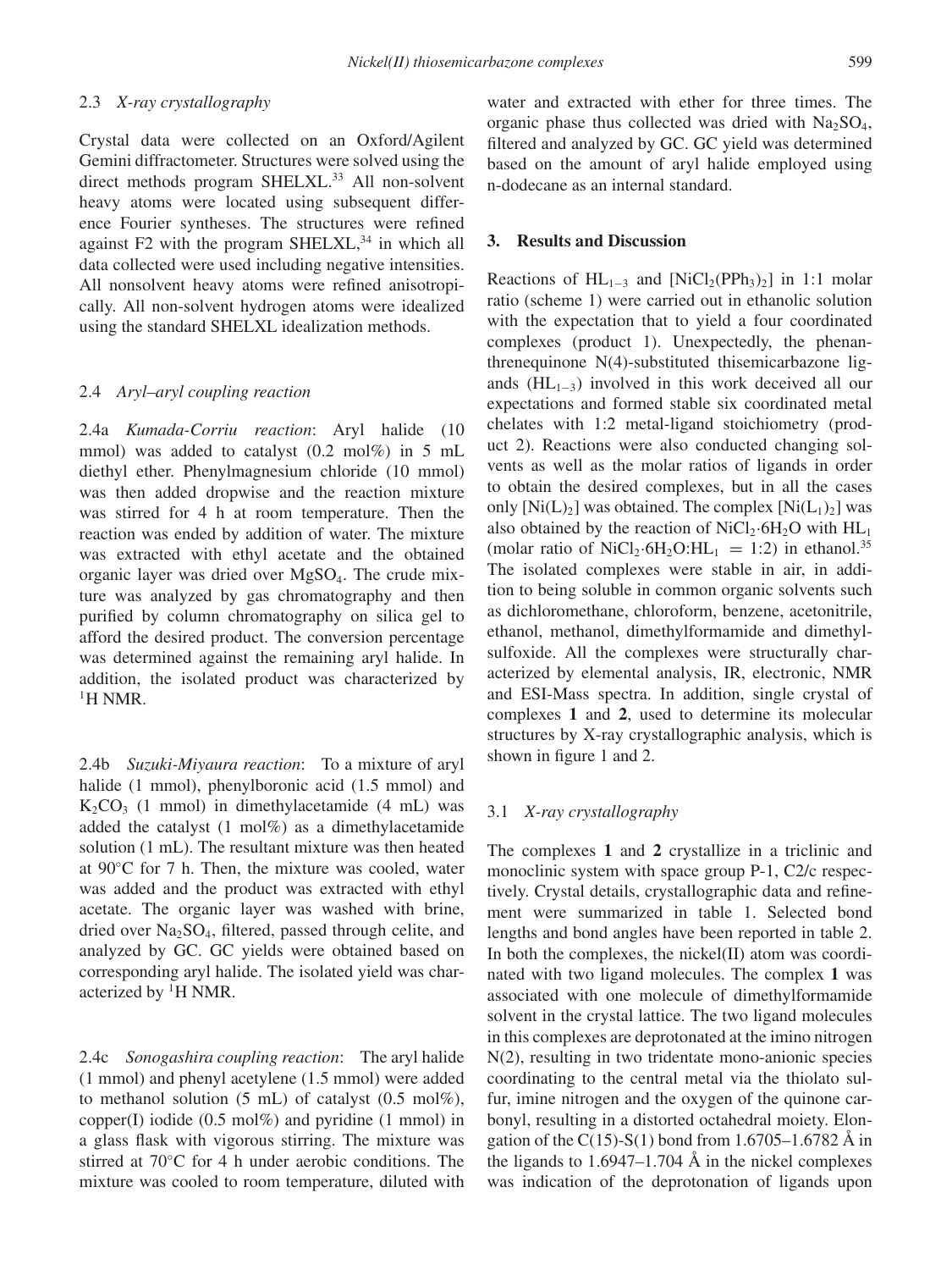# 2.3 *X-ray crystallography*

Crystal data were collected on an Oxford/Agilent Gemini diffractometer. Structures were solved using the direct methods program SHELXL.<sup>33</sup> All non-solvent heavy atoms were located using subsequent difference Fourier syntheses. The structures were refined against  $F2$  with the program SHELXL,  $34$  in which all data collected were used including negative intensities. All nonsolvent heavy atoms were refined anisotropically. All non-solvent hydrogen atoms were idealized using the standard SHELXL idealization methods.

# 2.4 *Aryl–aryl coupling reaction*

2.4a *Kumada-Corriu reaction*: Aryl halide (10 mmol) was added to catalyst (0.2 mol%) in 5 mL diethyl ether. Phenylmagnesium chloride (10 mmol) was then added dropwise and the reaction mixture was stirred for 4 h at room temperature. Then the reaction was ended by addition of water. The mixture was extracted with ethyl acetate and the obtained organic layer was dried over MgSO4. The crude mixture was analyzed by gas chromatography and then purified by column chromatography on silica gel to afford the desired product. The conversion percentage was determined against the remaining aryl halide. In addition, the isolated product was characterized by <sup>1</sup>H NMR

2.4b *Suzuki-Miyaura reaction*: To a mixture of aryl halide (1 mmol), phenylboronic acid (1.5 mmol) and  $K_2CO_3$  (1 mmol) in dimethylacetamide (4 mL) was added the catalyst (1 mol%) as a dimethylacetamide solution (1 mL). The resultant mixture was then heated at 90◦C for 7 h. Then, the mixture was cooled, water was added and the product was extracted with ethyl acetate. The organic layer was washed with brine, dried over  $Na<sub>2</sub>SO<sub>4</sub>$ , filtered, passed through celite, and analyzed by GC. GC yields were obtained based on corresponding aryl halide. The isolated yield was characterized by <sup>1</sup>H NMR.

2.4c *Sonogashira coupling reaction*: The aryl halide (1 mmol) and phenyl acetylene (1.5 mmol) were added to methanol solution  $(5 \text{ mL})$  of catalyst  $(0.5 \text{ mol\%})$ , copper(I) iodide  $(0.5 \text{ mol\%)}$  and pyridine  $(1 \text{ mmol})$  in a glass flask with vigorous stirring. The mixture was stirred at 70◦C for 4 h under aerobic conditions. The mixture was cooled to room temperature, diluted with water and extracted with ether for three times. The organic phase thus collected was dried with  $Na<sub>2</sub>SO<sub>4</sub>$ , filtered and analyzed by GC. GC yield was determined based on the amount of aryl halide employed using n-dodecane as an internal standard.

# **3. Results and Discussion**

Reactions of  $HL_{1-3}$  and  $[NiCl_2(PPh_3)_2]$  in 1:1 molar ratio (scheme 1) were carried out in ethanolic solution with the expectation that to yield a four coordinated complexes (product 1). Unexpectedly, the phenanthrenequinone N(4)-substituted thisemicarbazone ligands (HL<sub>1−3</sub>) involved in this work deceived all our expectations and formed stable six coordinated metal chelates with 1:2 metal-ligand stoichiometry (product 2). Reactions were also conducted changing solvents as well as the molar ratios of ligands in order to obtain the desired complexes, but in all the cases only  $[Ni(L_1)_2]$  was obtained. The complex  $[Ni(L_1)_2]$  was also obtained by the reaction of  $NiCl<sub>2</sub>·6H<sub>2</sub>O$  with  $HL<sub>1</sub>$ (molar ratio of NiCl<sub>2</sub>·6H<sub>2</sub>O:HL<sub>1</sub> = 1:2) in ethanol.<sup>35</sup> The isolated complexes were stable in air, in addition to being soluble in common organic solvents such as dichloromethane, chloroform, benzene, acetonitrile, ethanol, methanol, dimethylformamide and dimethylsulfoxide. All the complexes were structurally characterized by elemental analysis, IR, electronic, NMR and ESI-Mass spectra. In addition, single crystal of complexes **1** and **2**, used to determine its molecular structures by X-ray crystallographic analysis, which is shown in figure 1 and 2.

#### 3.1 *X-ray crystallography*

The complexes **1** and **2** crystallize in a triclinic and monoclinic system with space group P-1, C2/c respectively. Crystal details, crystallographic data and refinement were summarized in table 1. Selected bond lengths and bond angles have been reported in table 2. In both the complexes, the nickel(II) atom was coordinated with two ligand molecules. The complex **1** was associated with one molecule of dimethylformamide solvent in the crystal lattice. The two ligand molecules in this complexes are deprotonated at the imino nitrogen N(2), resulting in two tridentate mono-anionic species coordinating to the central metal via the thiolato sulfur, imine nitrogen and the oxygen of the quinone carbonyl, resulting in a distorted octahedral moiety. Elongation of the C(15)-S(1) bond from 1.6705–1.6782 Å in the ligands to  $1.6947-1.704$  Å in the nickel complexes was indication of the deprotonation of ligands upon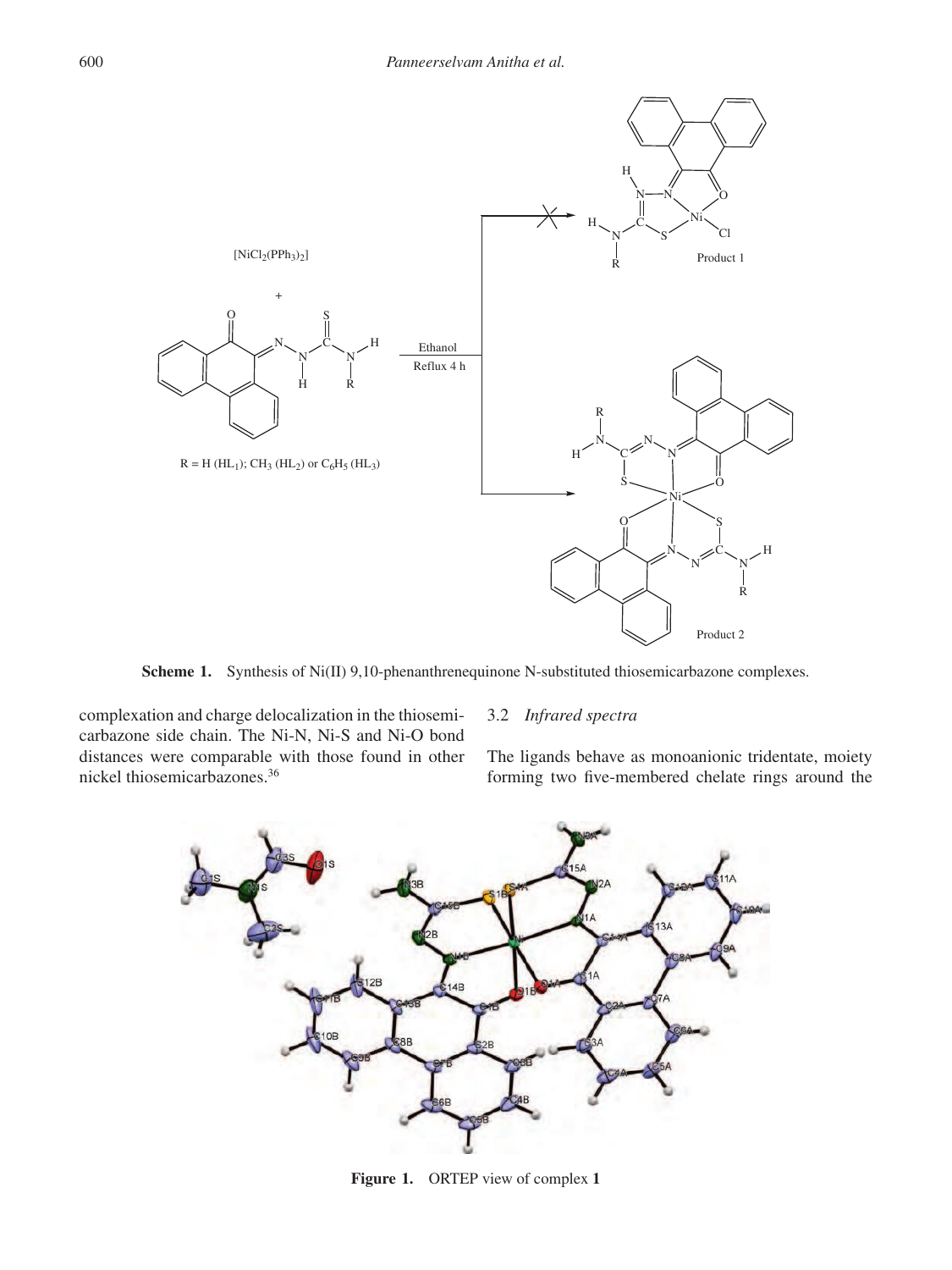

**Scheme 1.** Synthesis of Ni(II) 9,10-phenanthrenequinone N-substituted thiosemicarbazone complexes.

complexation and charge delocalization in the thiosemicarbazone side chain. The Ni-N, Ni-S and Ni-O bond distances were comparable with those found in other nickel thiosemicarbazones.<sup>36</sup>

# 3.2 *Infrared spectra*

The ligands behave as monoanionic tridentate, moiety forming two five-membered chelate rings around the



**Figure 1.** ORTEP view of complex **1**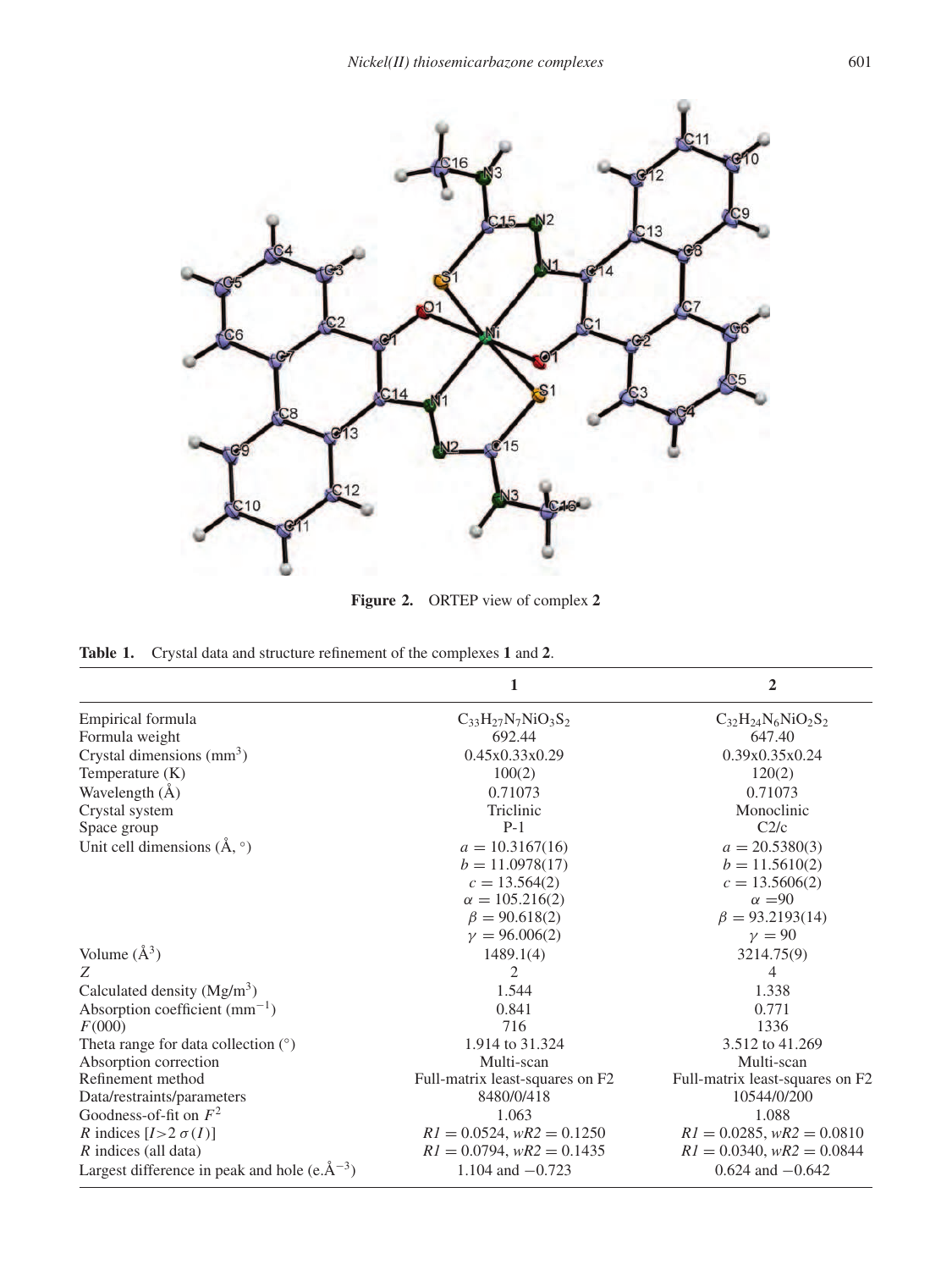

**Figure 2.** ORTEP view of complex **2**

**Table 1.** Crystal data and structure refinement of the complexes **1** and **2**.

|                                                      | 1                               | $\overline{2}$                  |  |  |
|------------------------------------------------------|---------------------------------|---------------------------------|--|--|
| Empirical formula                                    | $C_{33}H_{27}N_7NiO_3S_2$       | $C_{32}H_{24}N_6NiO_2S_2$       |  |  |
| Formula weight                                       | 692.44                          | 647.40                          |  |  |
| Crystal dimensions $(mm3)$                           | 0.45x0.33x0.29                  | 0.39x0.35x0.24                  |  |  |
| Temperature $(K)$                                    | 100(2)                          | 120(2)                          |  |  |
| Wavelength $(\AA)$                                   | 0.71073                         | 0.71073                         |  |  |
| Crystal system                                       | Triclinic                       | Monoclinic                      |  |  |
| Space group                                          | $P-1$                           | C <sub>2/c</sub>                |  |  |
| Unit cell dimensions $(A, \circ)$                    | $a = 10.3167(16)$               | $a = 20.5380(3)$                |  |  |
|                                                      | $b = 11.0978(17)$               | $b = 11.5610(2)$                |  |  |
|                                                      | $c = 13.564(2)$                 | $c = 13.5606(2)$                |  |  |
|                                                      | $\alpha = 105.216(2)$           | $\alpha = 90$                   |  |  |
|                                                      | $\beta = 90.618(2)$             | $\beta = 93.2193(14)$           |  |  |
|                                                      | $\gamma = 96.006(2)$            | $\gamma = 90$                   |  |  |
| Volume $(\AA^3)$                                     | 1489.1(4)                       | 3214.75(9)                      |  |  |
| Z                                                    | 2                               | 4                               |  |  |
| Calculated density $(Mg/m3)$                         | 1.544                           | 1.338                           |  |  |
| Absorption coefficient $(mm^{-1})$                   | 0.841                           | 0.771                           |  |  |
| F(000)                                               | 716                             | 1336                            |  |  |
| Theta range for data collection $(°)$                | 1.914 to 31.324                 | 3.512 to 41.269                 |  |  |
| Absorption correction                                | Multi-scan                      | Multi-scan                      |  |  |
| Refinement method                                    | Full-matrix least-squares on F2 | Full-matrix least-squares on F2 |  |  |
| Data/restraints/parameters                           | 8480/0/418                      | 10544/0/200                     |  |  |
| Goodness-of-fit on $F^2$                             | 1.063                           | 1.088                           |  |  |
| <i>R</i> indices $[I>2 \sigma(I)]$                   | $RI = 0.0524$ , $wR2 = 0.1250$  | $RI = 0.0285$ , $wR2 = 0.0810$  |  |  |
| $R$ indices (all data)                               | $RI = 0.0794$ , $wR2 = 0.1435$  | $RI = 0.0340$ , $wR2 = 0.0844$  |  |  |
| Largest difference in peak and hole (e. $\AA^{-3}$ ) | 1.104 and $-0.723$              | $0.624$ and $-0.642$            |  |  |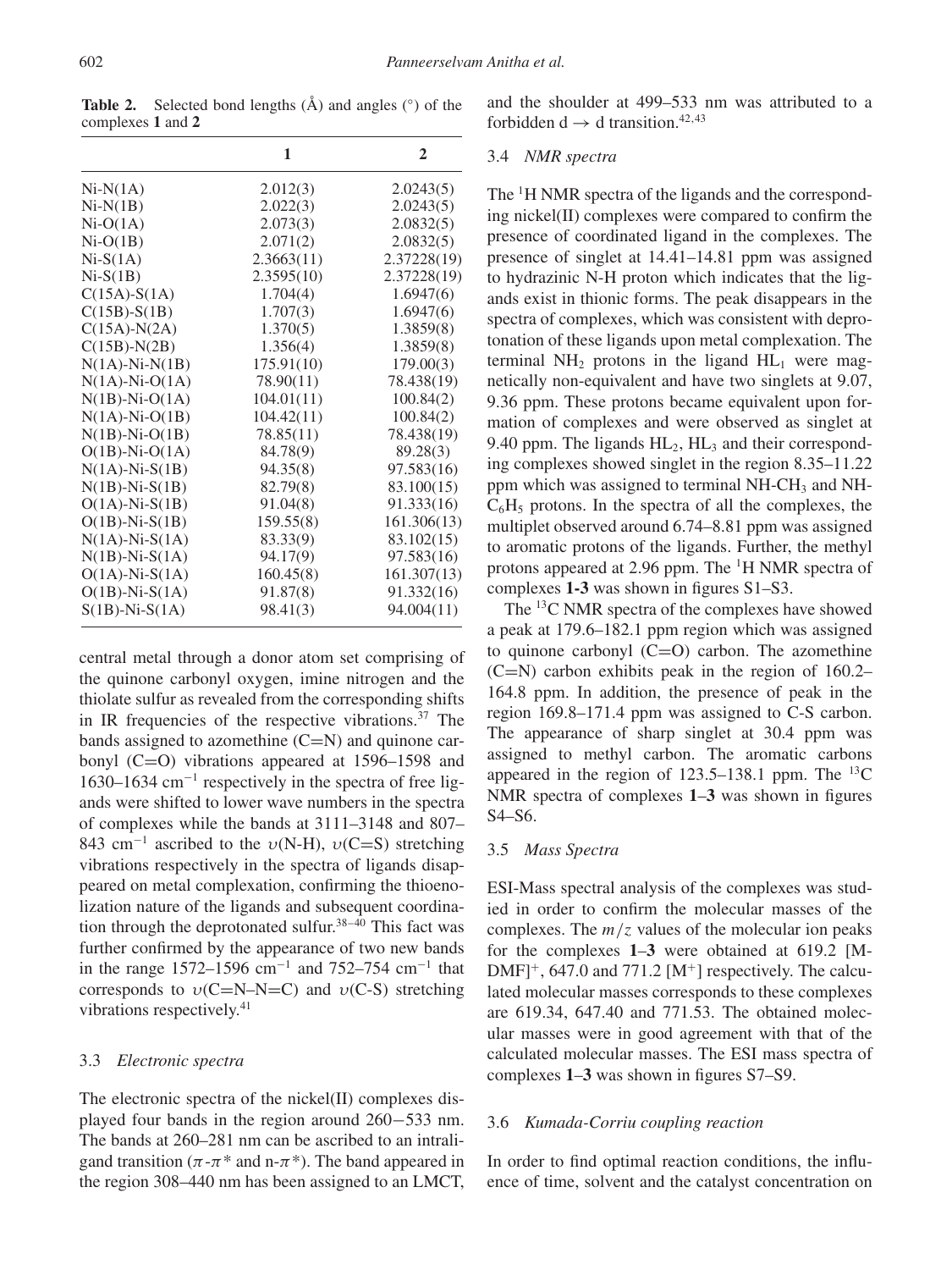Table 2. Selected bond lengths  $(\hat{A})$  and angles  $(\hat{c})$  of the complexes **1** and **2**

|                      | 1          | $\overline{2}$ |
|----------------------|------------|----------------|
| $Ni-N(1A)$           | 2.012(3)   | 2.0243(5)      |
| $Ni-N(1B)$           | 2.022(3)   | 2.0243(5)      |
| $Ni-O(1A)$           | 2.073(3)   | 2.0832(5)      |
| $Ni-O(1B)$           | 2.071(2)   | 2.0832(5)      |
| $Ni-S(1A)$           | 2.3663(11) | 2.37228(19)    |
| $Ni-S(1B)$           | 2.3595(10) | 2.37228(19)    |
| $C(15A)$ -S $(1A)$   | 1.704(4)   | 1.6947(6)      |
| $C(15B)$ -S(1B)      | 1.707(3)   | 1.6947(6)      |
| $C(15A)-N(2A)$       | 1.370(5)   | 1.3859(8)      |
| $C(15B)$ -N(2B)      | 1.356(4)   | 1.3859(8)      |
| $N(1A)-Ni-N(1B)$     | 175.91(10) | 179.00(3)      |
| $N(1A)$ -Ni-O $(1A)$ | 78.90(11)  | 78.438(19)     |
| $N(1B)$ -Ni-O(1A)    | 104.01(11) | 100.84(2)      |
| $N(1A)-Ni-O(1B)$     | 104.42(11) | 100.84(2)      |
| $N(1B)-Ni-O(1B)$     | 78.85(11)  | 78.438(19)     |
| $O(1B)$ -Ni- $O(1A)$ | 84.78(9)   | 89.28(3)       |
| $N(1A)-Ni-S(1B)$     | 94.35(8)   | 97.583(16)     |
| $N(1B) - Ni-S(1B)$   | 82.79(8)   | 83.100(15)     |
| $O(1A)$ -Ni-S $(1B)$ | 91.04(8)   | 91.333(16)     |
| $O(1B)$ -Ni-S $(1B)$ | 159.55(8)  | 161.306(13)    |
| $N(1A)$ -Ni-S $(1A)$ | 83.33(9)   | 83.102(15)     |
| $N(1B)$ -Ni-S $(1A)$ | 94.17(9)   | 97.583(16)     |
| $O(1A)$ -Ni-S $(1A)$ | 160.45(8)  | 161.307(13)    |
| $O(1B)$ -Ni-S $(1A)$ | 91.87(8)   | 91.332(16)     |
| $S(1B)$ -Ni- $S(1A)$ | 98.41(3)   | 94.004(11)     |

central metal through a donor atom set comprising of the quinone carbonyl oxygen, imine nitrogen and the thiolate sulfur as revealed from the corresponding shifts in IR frequencies of the respective vibrations.<sup>37</sup> The bands assigned to azomethine  $(C=N)$  and quinone carbonyl (C=O) vibrations appeared at 1596–1598 and 1630–1634 cm<sup>−</sup><sup>1</sup> respectively in the spectra of free ligands were shifted to lower wave numbers in the spectra of complexes while the bands at 3111–3148 and 807– 843 cm<sup>-1</sup> ascribed to the  $v(N-H)$ ,  $v(C=S)$  stretching vibrations respectively in the spectra of ligands disappeared on metal complexation, confirming the thioenolization nature of the ligands and subsequent coordination through the deprotonated sulfur.<sup>38-40</sup> This fact was further confirmed by the appearance of two new bands in the range 1572–1596 cm<sup>-1</sup> and 752–754 cm<sup>-1</sup> that corresponds to  $v(C=N-N=C)$  and  $v(C-S)$  stretching vibrations respectively.<sup>41</sup>

# 3.3 *Electronic spectra*

The electronic spectra of the nickel(II) complexes displayed four bands in the region around 260−533 nm. The bands at 260–281 nm can be ascribed to an intraligand transition ( $\pi$ - $\pi$ <sup>\*</sup> and n- $\pi$ <sup>\*</sup>). The band appeared in the region 308–440 nm has been assigned to an LMCT,

and the shoulder at 499–533 nm was attributed to a forbidden d  $\rightarrow$  d transition.<sup>42,43</sup>

#### 3.4 *NMR spectra*

The <sup>1</sup>H NMR spectra of the ligands and the corresponding nickel(II) complexes were compared to confirm the presence of coordinated ligand in the complexes. The presence of singlet at 14.41–14.81 ppm was assigned to hydrazinic N-H proton which indicates that the ligands exist in thionic forms. The peak disappears in the spectra of complexes, which was consistent with deprotonation of these ligands upon metal complexation. The terminal  $NH_2$  protons in the ligand  $HL_1$  were magnetically non-equivalent and have two singlets at 9.07, 9.36 ppm. These protons became equivalent upon formation of complexes and were observed as singlet at 9.40 ppm. The ligands  $HL_2$ ,  $HL_3$  and their corresponding complexes showed singlet in the region 8.35–11.22 ppm which was assigned to terminal NH-CH<sub>3</sub> and NH- $C_6H_5$  protons. In the spectra of all the complexes, the multiplet observed around 6.74–8.81 ppm was assigned to aromatic protons of the ligands. Further, the methyl protons appeared at 2.96 ppm. The <sup>1</sup>H NMR spectra of complexes **1-3** was shown in figures S1–S3.

The <sup>13</sup>C NMR spectra of the complexes have showed a peak at 179.6–182.1 ppm region which was assigned to quinone carbonyl  $(C=O)$  carbon. The azomethine  $(C=N)$  carbon exhibits peak in the region of 160.2– 164.8 ppm. In addition, the presence of peak in the region 169.8–171.4 ppm was assigned to C-S carbon. The appearance of sharp singlet at 30.4 ppm was assigned to methyl carbon. The aromatic carbons appeared in the region of  $123.5-138.1$  ppm. The  $^{13}$ C NMR spectra of complexes **1**–**3** was shown in figures S4–S6.

#### 3.5 *Mass Spectra*

ESI-Mass spectral analysis of the complexes was studied in order to confirm the molecular masses of the complexes. The  $m/z$  values of the molecular ion peaks for the complexes **1**–**3** were obtained at 619.2 [M- $DMF$ <sup>+</sup>, 647.0 and 771.2 [M<sup>+</sup>] respectively. The calculated molecular masses corresponds to these complexes are 619.34, 647.40 and 771.53. The obtained molecular masses were in good agreement with that of the calculated molecular masses. The ESI mass spectra of complexes **1**–**3** was shown in figures S7–S9.

## 3.6 *Kumada-Corriu coupling reaction*

In order to find optimal reaction conditions, the influence of time, solvent and the catalyst concentration on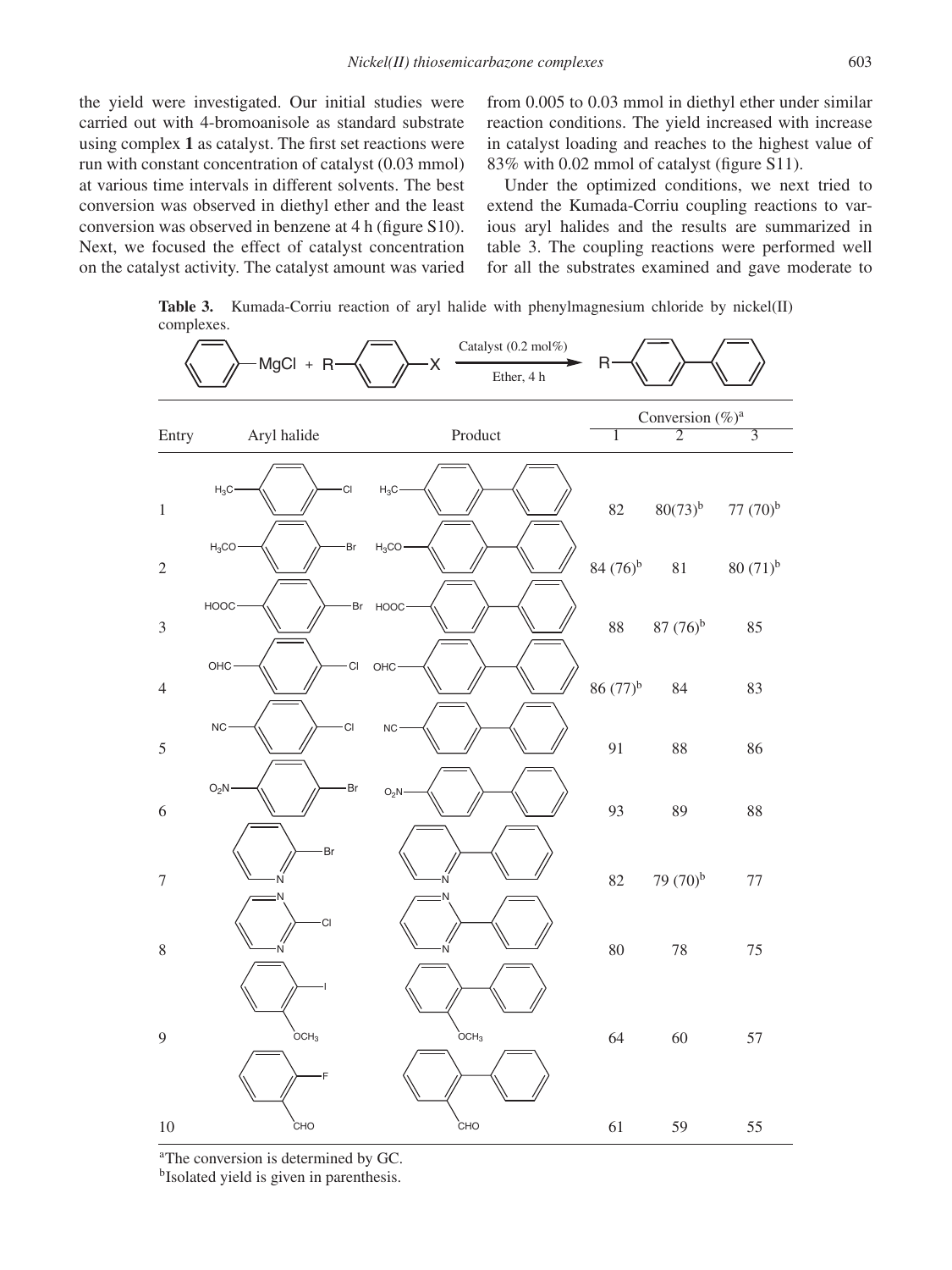the yield were investigated. Our initial studies were carried out with 4-bromoanisole as standard substrate using complex **1** as catalyst. The first set reactions were run with constant concentration of catalyst (0.03 mmol) at various time intervals in different solvents. The best conversion was observed in diethyl ether and the least conversion was observed in benzene at 4 h (figure S10). Next, we focused the effect of catalyst concentration on the catalyst activity. The catalyst amount was varied from 0.005 to 0.03 mmol in diethyl ether under similar reaction conditions. The yield increased with increase in catalyst loading and reaches to the highest value of 83% with 0.02 mmol of catalyst (figure S11).

Under the optimized conditions, we next tried to extend the Kumada-Corriu coupling reactions to various aryl halides and the results are summarized in table 3. The coupling reactions were performed well for all the substrates examined and gave moderate to

**Table 3.** Kumada-Corriu reaction of aryl halide with phenylmagnesium chloride by nickel(II) complexes.



<sup>a</sup>The conversion is determined by GC.

<sup>b</sup>Isolated yield is given in parenthesis.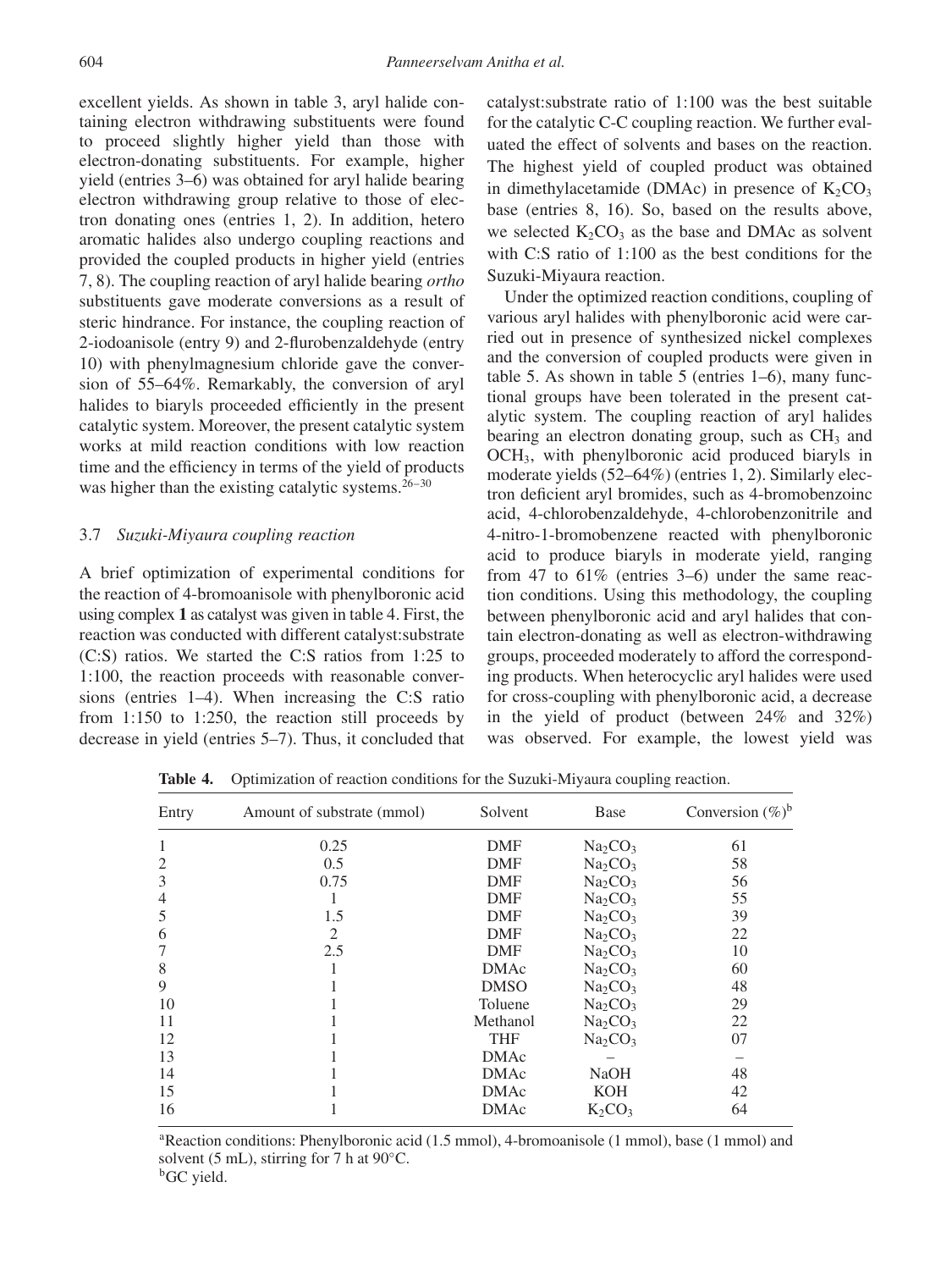excellent yields. As shown in table 3, aryl halide containing electron withdrawing substituents were found to proceed slightly higher yield than those with electron-donating substituents. For example, higher yield (entries 3–6) was obtained for aryl halide bearing electron withdrawing group relative to those of electron donating ones (entries 1, 2). In addition, hetero aromatic halides also undergo coupling reactions and provided the coupled products in higher yield (entries 7, 8). The coupling reaction of aryl halide bearing *ortho* substituents gave moderate conversions as a result of steric hindrance. For instance, the coupling reaction of 2-iodoanisole (entry 9) and 2-flurobenzaldehyde (entry 10) with phenylmagnesium chloride gave the conversion of 55–64%. Remarkably, the conversion of aryl halides to biaryls proceeded efficiently in the present catalytic system. Moreover, the present catalytic system works at mild reaction conditions with low reaction time and the efficiency in terms of the yield of products was higher than the existing catalytic systems. $26-30$ 

## 3.7 *Suzuki-Miyaura coupling reaction*

A brief optimization of experimental conditions for the reaction of 4-bromoanisole with phenylboronic acid using complex **1** as catalyst was given in table 4. First, the reaction was conducted with different catalyst:substrate (C:S) ratios. We started the C:S ratios from 1:25 to 1:100, the reaction proceeds with reasonable conversions (entries 1–4). When increasing the C:S ratio from 1:150 to 1:250, the reaction still proceeds by decrease in yield (entries 5–7). Thus, it concluded that catalyst:substrate ratio of 1:100 was the best suitable for the catalytic C-C coupling reaction. We further evaluated the effect of solvents and bases on the reaction. The highest yield of coupled product was obtained in dimethylacetamide (DMAc) in presence of  $K_2CO_3$ base (entries 8, 16). So, based on the results above, we selected  $K_2CO_3$  as the base and DMAc as solvent with C:S ratio of 1:100 as the best conditions for the Suzuki-Miyaura reaction.

Under the optimized reaction conditions, coupling of various aryl halides with phenylboronic acid were carried out in presence of synthesized nickel complexes and the conversion of coupled products were given in table 5. As shown in table 5 (entries 1–6), many functional groups have been tolerated in the present catalytic system. The coupling reaction of aryl halides bearing an electron donating group, such as  $CH<sub>3</sub>$  and OCH3, with phenylboronic acid produced biaryls in moderate yields (52–64%) (entries 1, 2). Similarly electron deficient aryl bromides, such as 4-bromobenzoinc acid, 4-chlorobenzaldehyde, 4-chlorobenzonitrile and 4-nitro-1-bromobenzene reacted with phenylboronic acid to produce biaryls in moderate yield, ranging from 47 to 61% (entries 3–6) under the same reaction conditions. Using this methodology, the coupling between phenylboronic acid and aryl halides that contain electron-donating as well as electron-withdrawing groups, proceeded moderately to afford the corresponding products. When heterocyclic aryl halides were used for cross-coupling with phenylboronic acid, a decrease in the yield of product (between 24% and 32%) was observed. For example, the lowest yield was

Entry Amount of substrate (mmol) Solvent Base Conversion  $(\%)^b$ 1 0.25 DMF  $Na_2CO_3$  61 2 0.5 DMF  $Na_2CO_3$  58 3 0.75 DMF  $Na_2CO_3$  56 4 1 1 DMF  $Na_2CO_3$  55  $1.5$  DMF  $Na_2CO_3$  39 6 2 DMF  $Na_2CO_3$  22  $2.5$  DMF  $Na_2CO_3$  10 8 1 DMAc  $Na_2CO_3$  60 9 1 DMSO  $Na_2CO_3$  48 10  $1$  Toluene  $Na_2CO_3$  29 11 1  $1 \text{Method} \text{Naf}$   $\text{Naf}$   $\text{Naf}$   $\text{Naf}$   $\text{Naf}$   $\text{Naf}$   $\text{Naf}$   $\text{Naf}$   $\text{Naf}$   $\text{Naf}$   $\text{Naf}$   $\text{Naf}$   $\text{Naf}$   $\text{Naf}$   $\text{Naf}$   $\text{Naf}$   $\text{Naf}$   $\text{Naf}$   $\text{Naf}$   $\text{Naf}$   $\text{Naf}$   $\text{Naf}$   $\text{Naf}$   $\text$ 12 1 1 THF  $Na_2CO_3$  07 13 1 DMAc – – 14 1 1 DMAc NaOH 48 15 15 1 DMAc KOH 42 16  $1$  DMAc  $K_2CO_3$  64

**Table 4.** Optimization of reaction conditions for the Suzuki-Miyaura coupling reaction.

<sup>a</sup>Reaction conditions: Phenylboronic acid (1.5 mmol), 4-bromoanisole (1 mmol), base (1 mmol) and solvent (5 mL), stirring for 7 h at  $90^{\circ}$ C. <sup>b</sup>GC yield.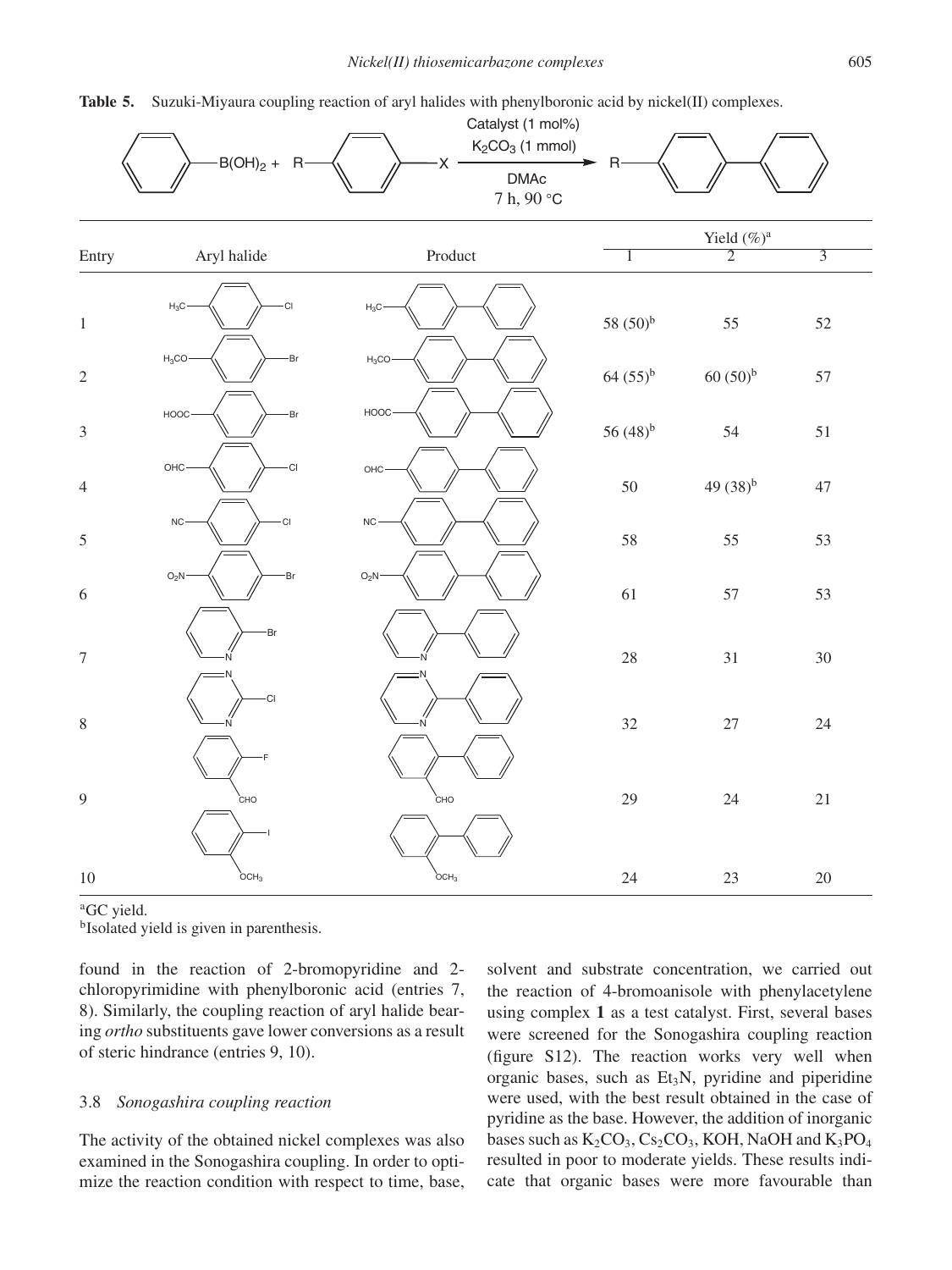

|                  | $B(OH)_2 + R$           | Catalyst (1 mol%)<br>$K2CO3$ (1 mmol)<br>X.<br><b>DMAc</b><br>7 h, 90 °C | $\mathsf{R}$  |                                  |                |  |
|------------------|-------------------------|--------------------------------------------------------------------------|---------------|----------------------------------|----------------|--|
| Entry            | Aryl halide             | Product                                                                  | 1             | Yield $(\%)^a$<br>$\overline{2}$ | $\overline{3}$ |  |
| $\,1\,$          | $\rm H_3C$<br><b>CI</b> | $H_3C$                                                                   | 58 $(50)^{b}$ | 55                               | 52             |  |
| $\sqrt{2}$       | $H_3CO$<br>·Br          | $H_3CO$                                                                  | $64 (55)^{b}$ | $60(50)^{b}$                     | 57             |  |
| $\mathfrak 3$    | HOOC<br>-Br             | HOOC                                                                     | 56 $(48)^{b}$ | 54                               | $51\,$         |  |
| $\overline{4}$   | OHC<br>·CI              | OHC·                                                                     | $50\,$        | 49 $(38)^{b}$                    | $47\,$         |  |
| $\sqrt{5}$       | NC-<br>C <sub>1</sub>   | NC-                                                                      | 58            | 55                               | 53             |  |
| $\sqrt{6}$       | O <sub>2</sub> N<br>Br  | $O_2N$                                                                   | 61            | 57                               | 53             |  |
| $\boldsymbol{7}$ | Br<br>N                 |                                                                          | $28\,$        | 31                               | $30\,$         |  |
| $\,8\,$          | <b>CI</b>               | ٠Ń                                                                       | 32            | $27\,$                           | $24\,$         |  |
| 9                | CHO                     | CHO                                                                      | 29            | $24\,$                           | $21\,$         |  |
| 10               | $\overleftarrow{OCH}_3$ | OCH <sub>3</sub>                                                         | 24            | 23                               | $20\,$         |  |

<sup>a</sup>GC yield.

b Isolated yield is given in parenthesis.

found in the reaction of 2-bromopyridine and 2 chloropyrimidine with phenylboronic acid (entries 7, 8). Similarly, the coupling reaction of aryl halide bearing *ortho* substituents gave lower conversions as a result of steric hindrance (entries 9, 10).

#### 3.8 *Sonogashira coupling reaction*

The activity of the obtained nickel complexes was also examined in the Sonogashira coupling. In order to optimize the reaction condition with respect to time, base, solvent and substrate concentration, we carried out the reaction of 4-bromoanisole with phenylacetylene using complex **1** as a test catalyst. First, several bases were screened for the Sonogashira coupling reaction (figure S12). The reaction works very well when organic bases, such as  $Et_3N$ , pyridine and piperidine were used, with the best result obtained in the case of pyridine as the base. However, the addition of inorganic bases such as  $K_2CO_3$ ,  $Cs_2CO_3$ , KOH, NaOH and  $K_3PO_4$ resulted in poor to moderate yields. These results indicate that organic bases were more favourable than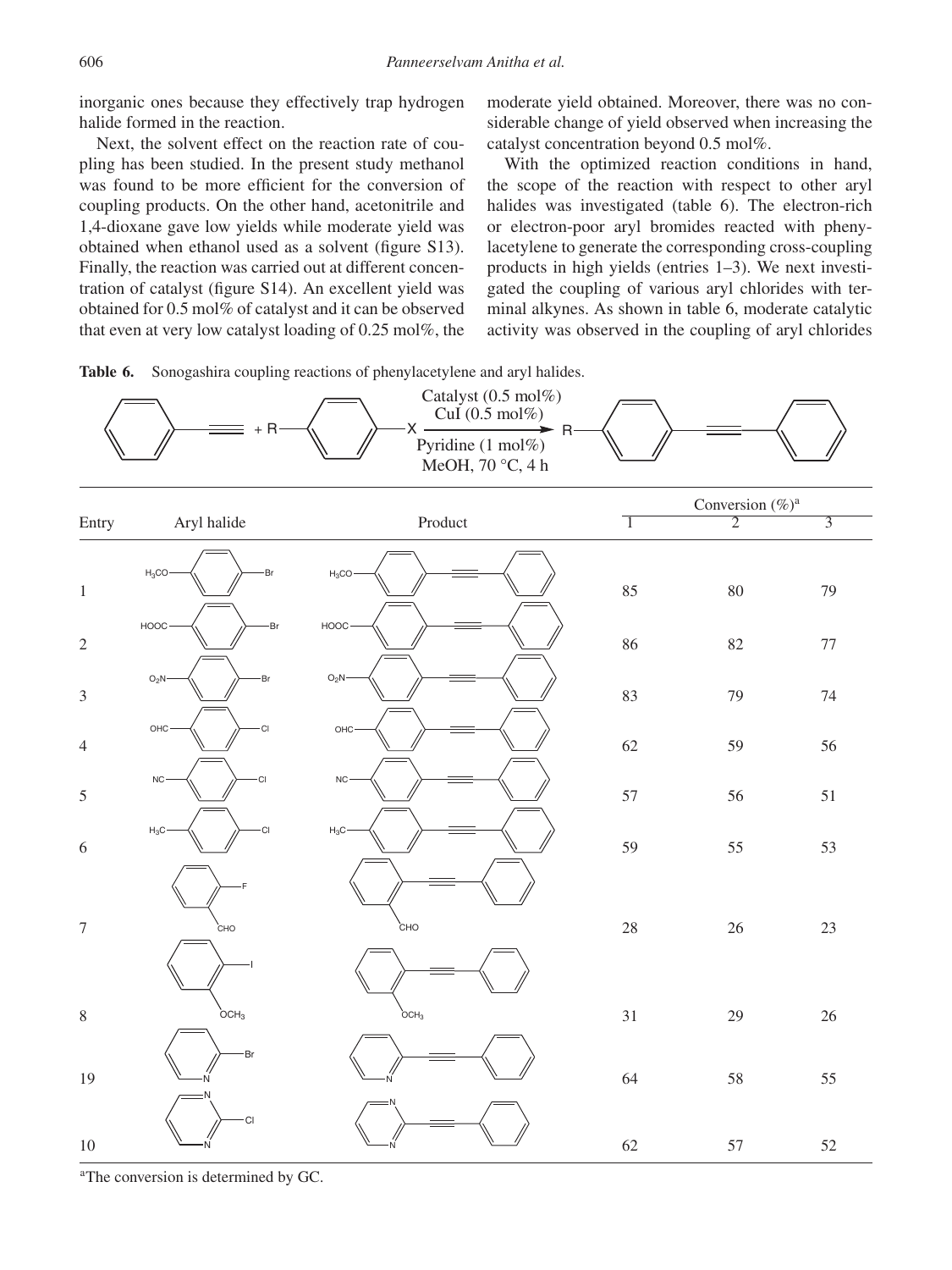inorganic ones because they effectively trap hydrogen halide formed in the reaction.

Next, the solvent effect on the reaction rate of coupling has been studied. In the present study methanol was found to be more efficient for the conversion of coupling products. On the other hand, acetonitrile and 1,4-dioxane gave low yields while moderate yield was obtained when ethanol used as a solvent (figure S13). Finally, the reaction was carried out at different concentration of catalyst (figure S14). An excellent yield was obtained for 0.5 mol% of catalyst and it can be observed that even at very low catalyst loading of 0.25 mol%, the moderate yield obtained. Moreover, there was no considerable change of yield observed when increasing the catalyst concentration beyond 0.5 mol%.

With the optimized reaction conditions in hand, the scope of the reaction with respect to other aryl halides was investigated (table 6). The electron-rich or electron-poor aryl bromides reacted with phenylacetylene to generate the corresponding cross-coupling products in high yields (entries 1–3). We next investigated the coupling of various aryl chlorides with terminal alkynes. As shown in table 6, moderate catalytic activity was observed in the coupling of aryl chlorides





<sup>a</sup>The conversion is determined by GC.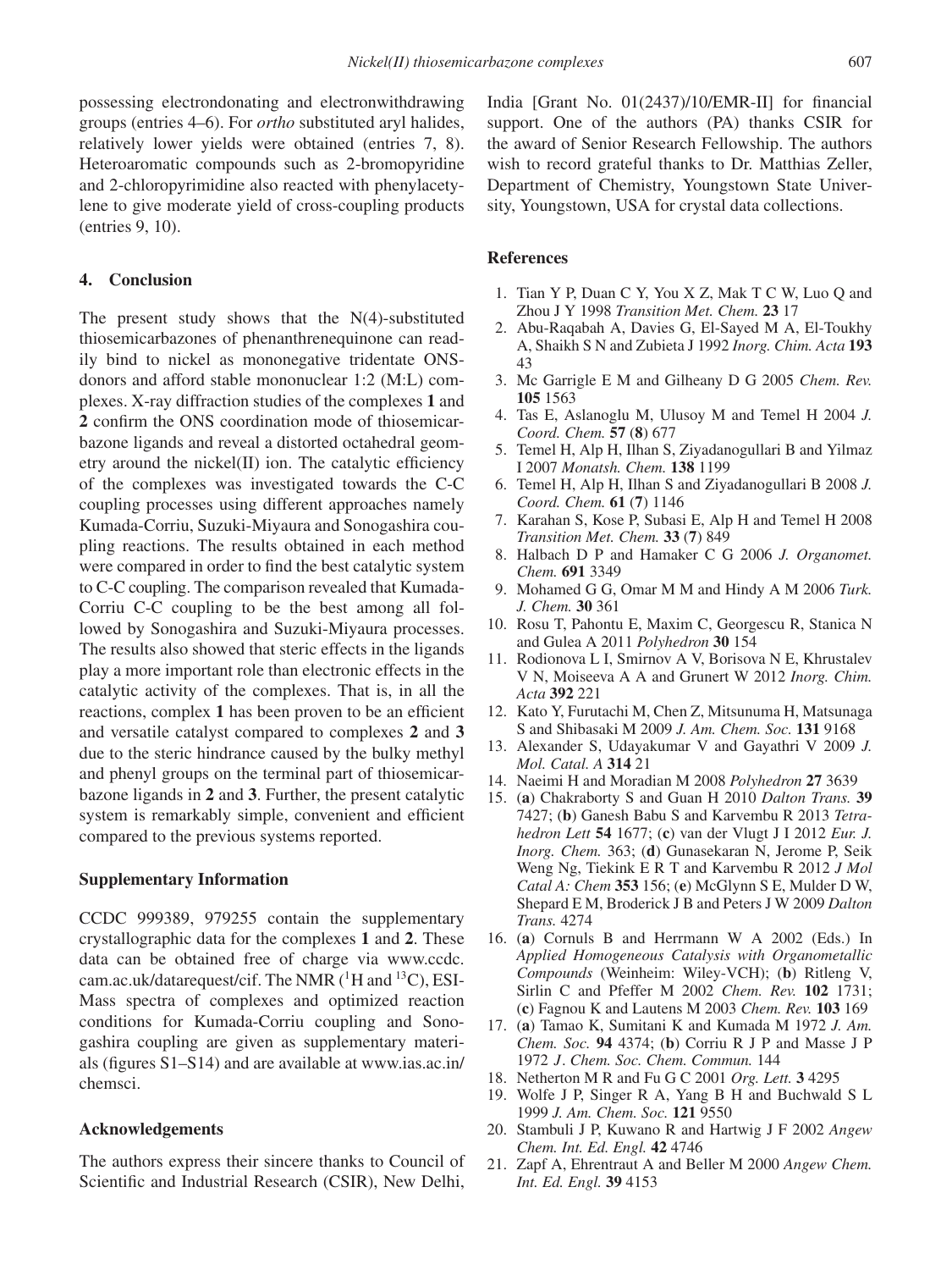possessing electrondonating and electronwithdrawing groups (entries 4–6). For *ortho* substituted aryl halides, relatively lower yields were obtained (entries 7, 8). Heteroaromatic compounds such as 2-bromopyridine and 2-chloropyrimidine also reacted with phenylacetylene to give moderate yield of cross-coupling products (entries 9, 10).

# **4. Conclusion**

The present study shows that the  $N(4)$ -substituted thiosemicarbazones of phenanthrenequinone can readily bind to nickel as mononegative tridentate ONSdonors and afford stable mononuclear 1:2 (M:L) complexes. X-ray diffraction studies of the complexes **1** and **2** confirm the ONS coordination mode of thiosemicarbazone ligands and reveal a distorted octahedral geometry around the nickel(II) ion. The catalytic efficiency of the complexes was investigated towards the C-C coupling processes using different approaches namely Kumada-Corriu, Suzuki-Miyaura and Sonogashira coupling reactions. The results obtained in each method were compared in order to find the best catalytic system to C-C coupling. The comparison revealed that Kumada-Corriu C-C coupling to be the best among all followed by Sonogashira and Suzuki-Miyaura processes. The results also showed that steric effects in the ligands play a more important role than electronic effects in the catalytic activity of the complexes. That is, in all the reactions, complex **1** has been proven to be an efficient and versatile catalyst compared to complexes **2** and **3** due to the steric hindrance caused by the bulky methyl and phenyl groups on the terminal part of thiosemicarbazone ligands in **2** and **3**. Further, the present catalytic system is remarkably simple, convenient and efficient compared to the previous systems reported.

#### **Supplementary Information**

CCDC 999389, 979255 contain the supplementary crystallographic data for the complexes **1** and **2**. These data can be obtained free of charge via www.ccdc. cam.ac.uk/datarequest/cif. The NMR  $(^1H$  and  $^{13}C)$ , ESI-Mass spectra of complexes and optimized reaction conditions for Kumada-Corriu coupling and Sonogashira coupling are given as supplementary materials (figures S1–S14) and are available at www.ias.ac.in/ chemsci.

# **Acknowledgements**

The authors express their sincere thanks to Council of Scientific and Industrial Research (CSIR), New Delhi,

India [Grant No. 01(2437)/10/EMR-II] for financial support. One of the authors (PA) thanks CSIR for the award of Senior Research Fellowship. The authors wish to record grateful thanks to Dr. Matthias Zeller, Department of Chemistry, Youngstown State University, Youngstown, USA for crystal data collections.

## **References**

- 1. Tian Y P, Duan C Y, You X Z, Mak T C W, Luo Q and Zhou J Y 1998 *Transition Met. Chem.* **23** 17
- 2. Abu-Raqabah A, Davies G, El-Sayed M A, El-Toukhy A, Shaikh S N and Zubieta J 1992 *Inorg. Chim. Acta* **193** 43
- 3. Mc Garrigle E M and Gilheany D G 2005 *Chem. Rev.* **105** 1563
- 4. Tas E, Aslanoglu M, Ulusoy M and Temel H 2004 *J. Coord. Chem.* **57** (**8**) 677
- 5. Temel H, Alp H, Ilhan S, Ziyadanogullari B and Yilmaz I 2007 *Monatsh. Chem.* **138** 1199
- 6. Temel H, Alp H, Ilhan S and Ziyadanogullari B 2008 *J. Coord. Chem.* **61** (**7**) 1146
- 7. Karahan S, Kose P, Subasi E, Alp H and Temel H 2008 *Transition Met. Chem.* **33** (**7**) 849
- 8. Halbach D P and Hamaker C G 2006 *J. Organomet. Chem.* **691** 3349
- 9. Mohamed G G, Omar M M and Hindy A M 2006 *Turk. J. Chem.* **30** 361
- 10. Rosu T, Pahontu E, Maxim C, Georgescu R, Stanica N and Gulea A 2011 *Polyhedron* **30** 154
- 11. Rodionova L I, Smirnov A V, Borisova N E, Khrustalev V N, Moiseeva A A and Grunert W 2012 *Inorg. Chim. Acta* **392** 221
- 12. Kato Y, Furutachi M, Chen Z, Mitsunuma H, Matsunaga S and Shibasaki M 2009 *J. Am. Chem. Soc.* **131** 9168
- 13. Alexander S, Udayakumar V and Gayathri V 2009 *J. Mol. Catal. A* **314** 21
- 14. Naeimi H and Moradian M 2008 *Polyhedron* **27** 3639
- 15. (**a**) Chakraborty S and Guan H 2010 *Dalton Trans.* **39** 7427; (**b**) Ganesh Babu S and Karvembu R 2013 *Tetrahedron Lett* **54** 1677; (**c**) van der Vlugt J I 2012 *Eur. J. Inorg. Chem.* 363; (**d**) Gunasekaran N, Jerome P, Seik Weng Ng, Tiekink E R T and Karvembu R 2012 *J Mol Catal A: Chem* **353** 156; (**e**) McGlynn S E, Mulder D W, Shepard E M, Broderick J B and Peters J W 2009 *Dalton Trans.* 4274
- 16. (**a**) Cornuls B and Herrmann W A 2002 (Eds.) In *Applied Homogeneous Catalysis with Organometallic Compounds* (Weinheim: Wiley-VCH); (**b**) Ritleng V, Sirlin C and Pfeffer M 2002 *Chem. Rev.* **102** 1731; (**c**) Fagnou K and Lautens M 2003 *Chem. Rev.* **103** 169
- 17. (**a**) Tamao K, Sumitani K and Kumada M 1972 *J. Am. Chem. Soc.* **94** 4374; (**b**) Corriu R J P and Masse J P 1972 J. *Chem. Soc. Chem. Commun.* 144
- 18. Netherton M R and Fu G C 2001 *Org. Lett.* **3** 4295
- 19. Wolfe J P, Singer R A, Yang B H and Buchwald S L 1999 *J. Am. Chem. Soc.* **121** 9550
- 20. Stambuli J P, Kuwano R and Hartwig J F 2002 *Angew Chem. Int. Ed. Engl.* **42** 4746
- 21. Zapf A, Ehrentraut A and Beller M 2000 *Angew Chem. Int. Ed. Engl.* **39** 4153